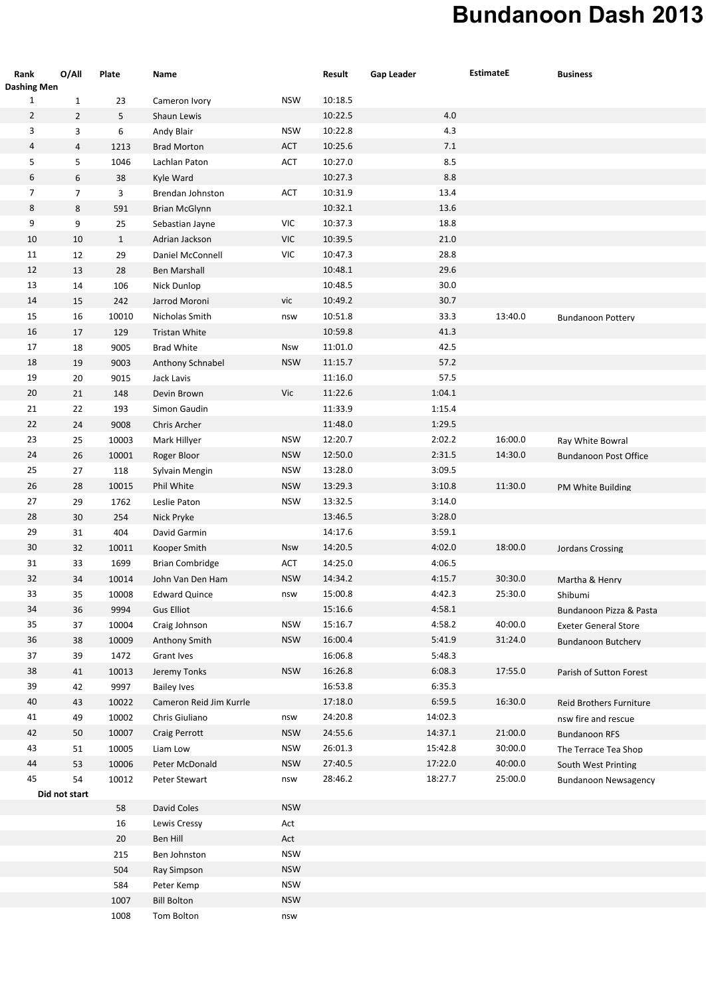## **Bundanoon Dash 2013**

| Rank<br><b>Dashing Men</b> | O/All          | Plate        | Name                    |                                                                 | Result  | <b>Gap Leader</b> | <b>EstimateE</b> | <b>Business</b>              |
|----------------------------|----------------|--------------|-------------------------|-----------------------------------------------------------------|---------|-------------------|------------------|------------------------------|
| $\mathbf{1}$               | $\mathbf{1}$   | 23           | Cameron Ivory           | <b>NSW</b>                                                      | 10:18.5 |                   |                  |                              |
| $\overline{2}$             | $\overline{2}$ | 5            | Shaun Lewis             |                                                                 | 10:22.5 | 4.0               |                  |                              |
| 3                          | 3              | 6            | Andy Blair              | <b>NSW</b>                                                      | 10:22.8 | 4.3               |                  |                              |
| 4                          | $\overline{4}$ | 1213         | <b>Brad Morton</b>      | ACT                                                             | 10:25.6 | 7.1               |                  |                              |
| 5                          | 5              | 1046         | Lachlan Paton           | ACT                                                             | 10:27.0 | 8.5               |                  |                              |
| 6                          | 6              | 38           | Kyle Ward               |                                                                 | 10:27.3 | 8.8               |                  |                              |
| 7                          | $\overline{7}$ | 3            | Brendan Johnston        | ACT                                                             | 10:31.9 | 13.4              |                  |                              |
| 8                          | 8              | 591          | <b>Brian McGlynn</b>    |                                                                 | 10:32.1 | 13.6              |                  |                              |
| 9                          | 9              | 25           | Sebastian Jayne         | VIC                                                             | 10:37.3 | 18.8              |                  |                              |
| 10                         | 10             | $\mathbf{1}$ | Adrian Jackson          | $\ensuremath{\mathsf{V}}\xspace\ensuremath{\mathsf{IC}}\xspace$ | 10:39.5 | 21.0              |                  |                              |
| 11                         | 12             | 29           | Daniel McConnell        | VIC                                                             | 10:47.3 | 28.8              |                  |                              |
| 12                         | 13             | 28           | Ben Marshall            |                                                                 | 10:48.1 | 29.6              |                  |                              |
| 13                         | 14             | 106          | Nick Dunlop             |                                                                 | 10:48.5 | 30.0              |                  |                              |
| 14                         | 15             | 242          | Jarrod Moroni           | vic                                                             | 10:49.2 | 30.7              |                  |                              |
| 15                         | 16             | 10010        | Nicholas Smith          | nsw                                                             | 10:51.8 | 33.3              | 13:40.0          | <b>Bundanoon Pottery</b>     |
| 16                         | 17             | 129          | Tristan White           |                                                                 | 10:59.8 | 41.3              |                  |                              |
| 17                         | 18             | 9005         | <b>Brad White</b>       | Nsw                                                             | 11:01.0 | 42.5              |                  |                              |
| 18                         | 19             | 9003         | Anthony Schnabel        | <b>NSW</b>                                                      | 11:15.7 | 57.2              |                  |                              |
| 19                         | 20             | 9015         | Jack Lavis              |                                                                 | 11:16.0 | 57.5              |                  |                              |
| 20                         | 21             | 148          | Devin Brown             | Vic                                                             | 11:22.6 | 1:04.1            |                  |                              |
| 21                         | 22             | 193          | Simon Gaudin            |                                                                 | 11:33.9 | 1:15.4            |                  |                              |
| 22                         | 24             | 9008         | Chris Archer            |                                                                 | 11:48.0 | 1:29.5            |                  |                              |
| 23                         | 25             | 10003        | Mark Hillyer            | <b>NSW</b>                                                      | 12:20.7 | 2:02.2            | 16:00.0          | Ray White Bowral             |
| 24                         | 26             | 10001        | Roger Bloor             | <b>NSW</b>                                                      | 12:50.0 | 2:31.5            | 14:30.0          | <b>Bundanoon Post Office</b> |
| 25                         | 27             | 118          | Sylvain Mengin          | <b>NSW</b>                                                      | 13:28.0 | 3:09.5            |                  |                              |
| 26                         | 28             | 10015        | Phil White              | <b>NSW</b>                                                      | 13:29.3 | 3:10.8            | 11:30.0          | PM White Building            |
| 27                         | 29             | 1762         | Leslie Paton            | <b>NSW</b>                                                      | 13:32.5 | 3:14.0            |                  |                              |
| 28                         | 30             | 254          | Nick Pryke              |                                                                 | 13:46.5 | 3:28.0            |                  |                              |
| 29                         | 31             | 404          | David Garmin            |                                                                 | 14:17.6 | 3:59.1            |                  |                              |
| 30                         | 32             | 10011        | Kooper Smith            | Nsw                                                             | 14:20.5 | 4:02.0            | 18:00.0          | Jordans Crossing             |
| 31                         | 33             | 1699         | <b>Brian Combridge</b>  | ACT                                                             | 14:25.0 | 4:06.5            |                  |                              |
| 32                         | 34             | 10014        | John Van Den Ham        | <b>NSW</b>                                                      | 14:34.2 | 4:15.7            | 30:30.0          | Martha & Henry               |
| 33                         | 35             | 10008        | <b>Edward Quince</b>    | nsw                                                             | 15:00.8 | 4:42.3            | 25:30.0          | Shibumi                      |
| 34                         | 36             | 9994         | <b>Gus Elliot</b>       |                                                                 | 15:16.6 | 4:58.1            |                  | Bundanoon Pizza & Pasta      |
| 35                         | 37             | 10004        | Craig Johnson           | <b>NSW</b>                                                      | 15:16.7 | 4:58.2            | 40:00.0          | <b>Exeter General Store</b>  |
| 36                         | 38             | 10009        | Anthony Smith           | <b>NSW</b>                                                      | 16:00.4 | 5:41.9            | 31:24.0          | Bundanoon Butchery           |
| $37\,$                     | 39             | 1472         | Grant Ives              |                                                                 | 16:06.8 | 5:48.3            |                  |                              |
| 38                         | 41             | 10013        | Jeremy Tonks            | <b>NSW</b>                                                      | 16:26.8 | 6:08.3            | 17:55.0          | Parish of Sutton Forest      |
| 39                         | 42             | 9997         | <b>Bailey Ives</b>      |                                                                 | 16:53.8 | 6:35.3            |                  |                              |
| 40                         | 43             | 10022        | Cameron Reid Jim Kurrle |                                                                 | 17:18.0 | 6:59.5            | 16:30.0          | Reid Brothers Furniture      |
| 41                         | 49             | 10002        | Chris Giuliano          | nsw                                                             | 24:20.8 | 14:02.3           |                  | nsw fire and rescue          |
| 42                         | 50             | 10007        | Craig Perrott           | <b>NSW</b>                                                      | 24:55.6 | 14:37.1           | 21:00.0          | <b>Bundanoon RFS</b>         |
| 43                         | 51             | 10005        | Liam Low                | <b>NSW</b>                                                      | 26:01.3 | 15:42.8           | 30:00.0          | The Terrace Tea Shop         |
| 44                         | 53             | 10006        | Peter McDonald          | <b>NSW</b>                                                      | 27:40.5 | 17:22.0           | 40:00.0          | South West Printing          |
| 45                         | 54             | 10012        | Peter Stewart           | nsw                                                             | 28:46.2 | 18:27.7           | 25:00.0          | <b>Bundanoon Newsagency</b>  |
|                            | Did not start  |              |                         |                                                                 |         |                   |                  |                              |
|                            |                | 58           | David Coles             | <b>NSW</b>                                                      |         |                   |                  |                              |
|                            |                | 16           | Lewis Cressy            | Act                                                             |         |                   |                  |                              |
|                            |                | 20           | Ben Hill                | Act                                                             |         |                   |                  |                              |
|                            |                | 215          | Ben Johnston            | <b>NSW</b>                                                      |         |                   |                  |                              |
|                            |                | 504          | Ray Simpson             | <b>NSW</b>                                                      |         |                   |                  |                              |
|                            |                | 584          | Peter Kemp              | <b>NSW</b>                                                      |         |                   |                  |                              |
|                            |                | 1007         | <b>Bill Bolton</b>      | <b>NSW</b>                                                      |         |                   |                  |                              |
|                            |                | 1008         | Tom Bolton              | nsw                                                             |         |                   |                  |                              |